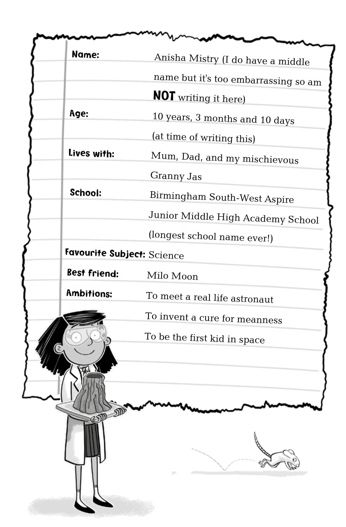| Name:                      | Anisha Mistry (I do have a middle    |
|----------------------------|--------------------------------------|
|                            | name but it's too embarrassing so am |
|                            | <b>NOT</b> writing it here)          |
| Age:                       | 10 years, 3 months and 10 days       |
|                            | (at time of writing this)            |
| Lives with:                | Mum, Dad, and my mischievous         |
|                            | Granny Jas                           |
| School:                    | Birmingham South-West Aspire         |
|                            | Junior Middle High Academy School    |
|                            | (longest school name ever!)          |
| Favourite Subject: Science |                                      |
| Best friend:               | Milo Moon                            |
| <b>Ambitions:</b>          | To meet a real life astronaut        |
|                            | To invent a cure for meanness        |
|                            | To be the first kid in space         |
|                            |                                      |
|                            |                                      |
|                            |                                      |
| COD SDB                    |                                      |
|                            |                                      |
|                            |                                      |
|                            |                                      |
|                            |                                      |
|                            |                                      |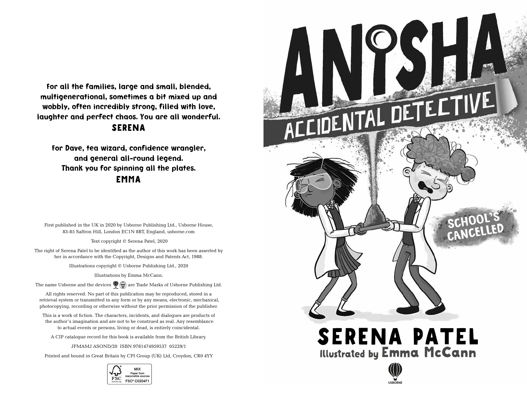For all the families, large and small, blended, multigenerational, sometimes a bit mixed up and wobbly, often incredibly strong, filled with love, laughter and perfect chaos. You are all wonderful. SERENA

For Dave, tea wizard, confidence wrangler, and general all-round legend. Thank you for spinning all the plates. EMMA

First published in the UK in 2020 by Usborne Publishing Ltd., Usborne House, 83-85 Saffron Hill, London EC1N 8RT, England, usborne.com

Text copyright © Serena Patel, 2020

The right of Serena Patel to be identified as the author of this work has been asserted by her in accordance with the Copyright, Designs and Patents Act, 1988.

Illustrations copyright © Usborne Publishing Ltd., 2020

Illustrations by Emma McCann.

The name Usborne and the devices  $\bigcirc\!\!\!\bigcirc\!\!\!\bigcirc\!\!\!\bigcirc$  are Trade Marks of Usborne Publishing Ltd.

All rights reserved. No part of this publication may be reproduced, stored in a retrieval system or transmitted in any form or by any means, electronic, mechanical, photocopying, recording or otherwise without the prior permission of the publisher.

This is a work of fiction. The characters, incidents, and dialogues are products of the author's imagination and are not to be construed as real. Any resemblance to actual events or persons, living or dead, is entirely coincidental.

A CIP catalogue record for this book is available from the British Library.

JFMAMJ ASOND/20 ISBN 9781474959537 05229/1

Printed and bound in Great Britain by CPI Group (UK) Ltd, Croydon, CR0 4YY



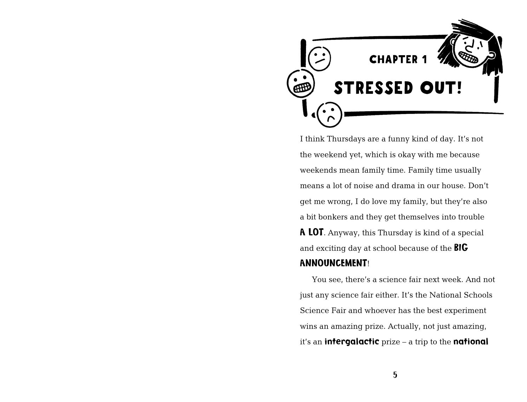

I think Thursdays are a funny kind of day. It's not the weekend yet, which is okay with me because weekends mean family time. Family time usually means a lot of noise and drama in our house. Don't get me wrong, I do love my family, but they're also a bit bonkers and they get themselves into trouble A LOT. Anyway, this Thursday is kind of a special and exciting day at school because of the BIG ANNOUNCEMENT!

You see, there's a science fair next week. And not just any science fair either. It's the National Schools Science Fair and whoever has the best experiment wins an amazing prize. Actually, not just amazing, it's an **intergalactic** prize  $-$  a trip to the **national**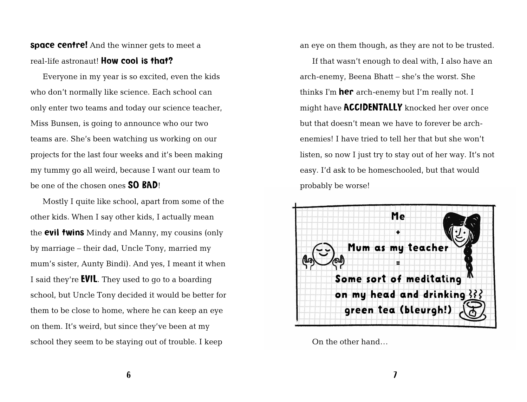space centre! And the winner gets to meet a real-life astronaut! **How cool is that?** 

Everyone in my year is so excited, even the kids who don't normally like science. Each school can only enter two teams and today our science teacher, Miss Bunsen, is going to announce who our two teams are. She's been watching us working on our projects for the last four weeks and it's been making my tummy go all weird, because I want our team to be one of the chosen ones SO BAD!

Mostly I quite like school, apart from some of the other kids. When I say other kids, I actually mean the **evil fwins** Mindy and Manny, my cousins (only by marriage – their dad, Uncle Tony, married my mum's sister, Aunty Bindi). And yes, I meant it when I said they're **EVIL**. They used to go to a boarding school, but Uncle Tony decided it would be better for them to be close to home, where he can keep an eye on them. It's weird, but since they've been at my school they seem to be staying out of trouble. I keep

an eye on them though, as they are not to be trusted.

If that wasn't enough to deal with, I also have an arch-enemy, Beena Bhatt – she's the worst. She thinks I'm **her** arch-enemy but I'm really not. I might have **ACCIDENTALLY** knocked her over once but that doesn't mean we have to forever be archenemies! I have tried to tell her that but she won't listen, so now I just try to stay out of her way. It's not easy. I'd ask to be homeschooled, but that would probably be worse!



On the other hand…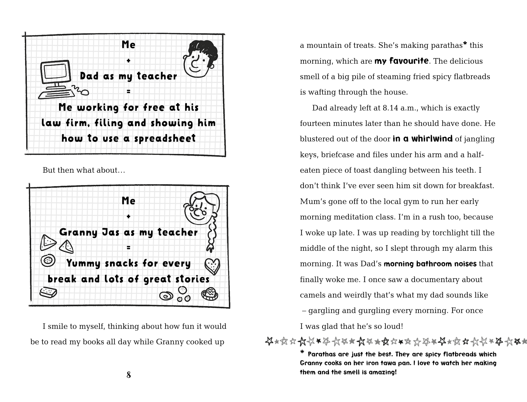

But then what about…

| Me                              |  |  |  |
|---------------------------------|--|--|--|
|                                 |  |  |  |
| Granny Jas as my teacher        |  |  |  |
| Yummy snacks for every          |  |  |  |
| break and lots of great stories |  |  |  |
|                                 |  |  |  |

I smile to myself, thinking about how fun it would be to read my books all day while Granny cooked up

a mountain of treats. She's making parathas\* this morning, which are **my favourite**. The delicious smell of a big pile of steaming fried spicy flatbreads is wafting through the house.

Dad already left at 8.14 a.m., which is exactly fourteen minutes later than he should have done. He blustered out of the door  $\infty$  a whirlwind of jangling keys, briefcase and files under his arm and a halfeaten piece of toast dangling between his teeth. I don't think I've ever seen him sit down for breakfast. Mum's gone off to the local gym to run her early morning meditation class. I'm in a rush too, because I woke up late. I was up reading by torchlight till the middle of the night, so I slept through my alarm this morning. It was Dad's **morning bathroom noises** that finally woke me. I once saw a documentary about camels and weirdly that's what my dad sounds like – gargling and gurgling every morning. For once I was glad that he's so loud!

**、☆★☆☆☆☆★☆☆★☆☆★☆☆☆☆☆☆☆☆☆☆☆☆☆☆☆☆☆★☆** 

\* Parathas are just the best. They are spicy flatbreads which Granny cooks on her iron tawa pan. I love to watch her making them and the smell is amazing!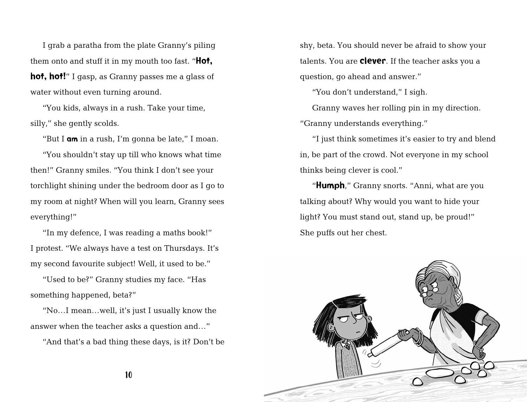I grab a paratha from the plate Granny's piling them onto and stuff it in my mouth too fast. " $Hot,$ hot, hot!" I gasp, as Granny passes me a glass of water without even turning around.

"You kids, always in a rush. Take your time, silly," she gently scolds.

"But I **am** in a rush, I'm gonna be late," I moan.

"You shouldn't stay up till who knows what time then!" Granny smiles. "You think I don't see your torchlight shining under the bedroom door as I go to my room at night? When will you learn, Granny sees everything!"

"In my defence, I was reading a maths book!" I protest. "We always have a test on Thursdays. It's my second favourite subject! Well, it used to be."

"Used to be?" Granny studies my face. "Has something happened, beta?"

"No…I mean…well, it's just I usually know the answer when the teacher asks a question and…"

"And that's a bad thing these days, is it? Don't be

shy, beta. You should never be afraid to show your talents. You are **clever**. If the teacher asks you a question, go ahead and answer."

"You don't understand," I sigh.

Granny waves her rolling pin in my direction. "Granny understands everything."

"I just think sometimes it's easier to try and blend in, be part of the crowd. Not everyone in my school thinks being clever is cool."

"Humph," Granny snorts. "Anni, what are you talking about? Why would you want to hide your light? You must stand out, stand up, be proud!" She puffs out her chest.

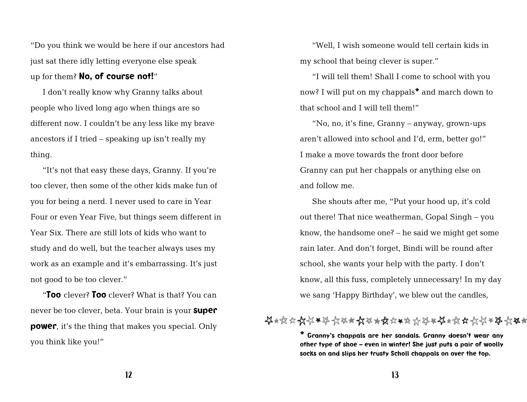"Do you think we would be here if our ancestors had just sat there idly letting everyone else speak up for them? **No, of course not!**"

I don't really know why Granny talks about people who lived long ago when things are so different now. I couldn't be any less like my brave ancestors if I tried – speaking up isn't really my thing.

"It's not that easy these days, Granny. If you're too clever, then some of the other kids make fun of you for being a nerd. I never used to care in Year Four or even Year Five, but things seem different in Year Six. There are still lots of kids who want to study and do well, but the teacher always uses my work as an example and it's embarrassing. It's just not good to be too clever."

"Too clever? Too clever? What is that? You can never be too clever, beta. Your brain is your **super** power, it's the thing that makes you special. Only you think like you!"

"Well, I wish someone would tell certain kids in my school that being clever is super."

"I will tell them! Shall I come to school with you now? I will put on my chappals\* and march down to that school and I will tell them!"

"No, no, it's fine, Granny – anyway, grown-ups aren't allowed into school and I'd, erm, better go!" I make a move towards the front door before Granny can put her chappals or anything else on and follow me.

She shouts after me, "Put your hood up, it's cold out there! That nice weatherman, Gopal Singh – you know, the handsome one? – he said we might get some rain later. And don't forget, Bindi will be round after school, she wants your help with the party. I don't know, all this fuss, completely unnecessary! In my day we sang 'Happy Birthday', we blew out the candles,

## **☆★☆☆☆☆★**※★☆☆★☆★★☆★☆☆☆★☆☆☆☆☆☆☆☆☆★★★

\* Granny's chappals are her sandals. Granny doesn't wear any other type of shoe – even in winter! She just puts a pair of woolly socks on and slips her trusty Scholl chappals on over the top.